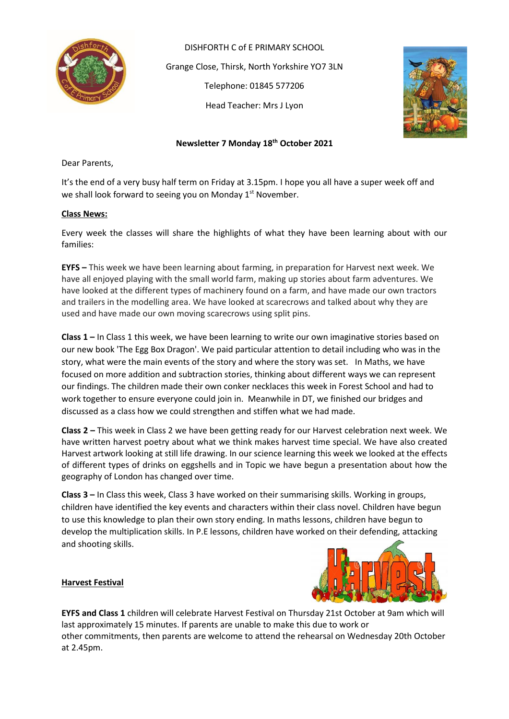

DISHFORTH C of E PRIMARY SCHOOL Grange Close, Thirsk, North Yorkshire YO7 3LN Telephone: 01845 577206 Head Teacher: Mrs J Lyon



# **Newsletter 7 Monday 18 th October 2021**

Dear Parents,

It's the end of a very busy half term on Friday at 3.15pm. I hope you all have a super week off and we shall look forward to seeing you on Monday 1<sup>st</sup> November.

#### **Class News:**

Every week the classes will share the highlights of what they have been learning about with our families:

**EYFS –** This week we have been learning about farming, in preparation for Harvest next week. We have all enjoyed playing with the small world farm, making up stories about farm adventures. We have looked at the different types of machinery found on a farm, and have made our own tractors and trailers in the modelling area. We have looked at scarecrows and talked about why they are used and have made our own moving scarecrows using split pins.

**Class 1 –** In Class 1 this week, we have been learning to write our own imaginative stories based on our new book 'The Egg Box Dragon'. We paid particular attention to detail including who was in the story, what were the main events of the story and where the story was set. In Maths, we have focused on more addition and subtraction stories, thinking about different ways we can represent our findings. The children made their own conker necklaces this week in Forest School and had to work together to ensure everyone could join in. Meanwhile in DT, we finished our bridges and discussed as a class how we could strengthen and stiffen what we had made.

**Class 2 –** This week in Class 2 we have been getting ready for our Harvest celebration next week. We have written harvest poetry about what we think makes harvest time special. We have also created Harvest artwork looking at still life drawing. In our science learning this week we looked at the effects of different types of drinks on eggshells and in Topic we have begun a presentation about how the geography of London has changed over time.

**Class 3 –** In Class this week, Class 3 have worked on their summarising skills. Working in groups, children have identified the key events and characters within their class novel. Children have begun to use this knowledge to plan their own story ending. In maths lessons, children have begun to develop the multiplication skills. In P.E lessons, children have worked on their defending, attacking and shooting skills.



### **Harvest Festival**

**EYFS and Class 1** children will celebrate Harvest Festival on Thursday 21st October at 9am which will last approximately 15 minutes. If parents are unable to make this due to work or other commitments, then parents are welcome to attend the rehearsal on Wednesday 20th October at 2.45pm.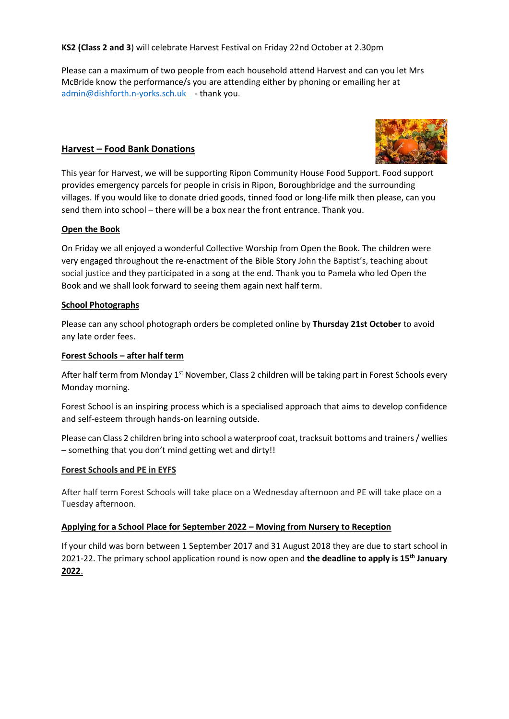**KS2 (Class 2 and 3**) will celebrate Harvest Festival on Friday 22nd October at 2.30pm

Please can a maximum of two people from each household attend Harvest and can you let Mrs McBride know the performance/s you are attending either by phoning or emailing her at [admin@dishforth.n-yorks.sch.uk](mailto:admin@dishforth.n-yorks.sch.uk) - thank you.



# **Harvest – Food Bank Donations**

This year for Harvest, we will be supporting Ripon Community House Food Support. Food support provides emergency parcels for people in crisis in Ripon, Boroughbridge and the surrounding villages. If you would like to donate dried goods, tinned food or long-life milk then please, can you send them into school – there will be a box near the front entrance. Thank you.

## **Open the Book**

On Friday we all enjoyed a wonderful Collective Worship from Open the Book. The children were very engaged throughout the re-enactment of the Bible Story John the Baptist's, teaching about social justice and they participated in a song at the end. Thank you to Pamela who led Open the Book and we shall look forward to seeing them again next half term.

## **School Photographs**

Please can any school photograph orders be completed online by **Thursday 21st October** to avoid any late order fees.

## **Forest Schools – after half term**

After half term from Monday 1<sup>st</sup> November, Class 2 children will be taking part in Forest Schools every Monday morning.

Forest School is an inspiring process which is a specialised approach that aims to develop confidence and self-esteem through hands-on learning outside.

Please can Class 2 children bring into school a waterproof coat, tracksuit bottoms and trainers / wellies – something that you don't mind getting wet and dirty!!

### **Forest Schools and PE in EYFS**

After half term Forest Schools will take place on a Wednesday afternoon and PE will take place on a Tuesday afternoon.

### **Applying for a School Place for September 2022 – Moving from Nursery to Reception**

If your child was born between 1 September 2017 and 31 August 2018 they are due to start school in 2021-22. The [primary school application](https://www.northyorks.gov.uk/applying-place-primary-school) round is now open and **the deadline to apply is 15th January 2022**.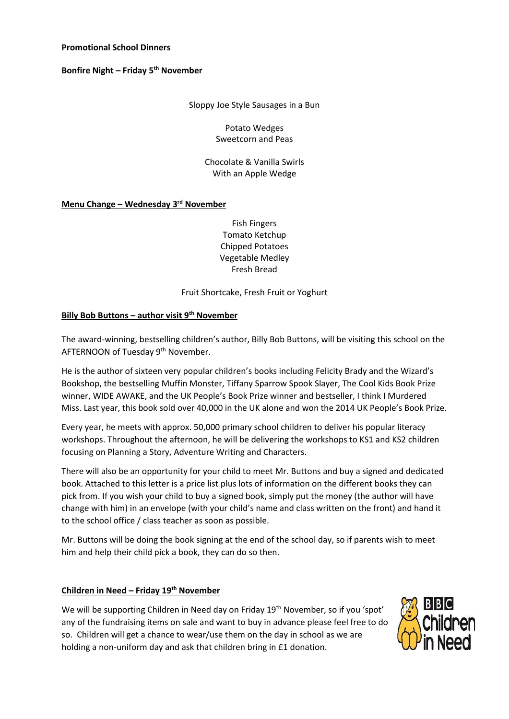## **Promotional School Dinners**

## **Bonfire Night – Friday 5th November**

Sloppy Joe Style Sausages in a Bun

Potato Wedges Sweetcorn and Peas

Chocolate & Vanilla Swirls With an Apple Wedge

## **Menu Change – Wednesday 3 rd November**

Fish Fingers Tomato Ketchup Chipped Potatoes Vegetable Medley Fresh Bread

Fruit Shortcake, Fresh Fruit or Yoghurt

## **Billy Bob Buttons – author visit 9th November**

The award-winning, bestselling children's author, Billy Bob Buttons, will be visiting this school on the AFTERNOON of Tuesday 9th November.

He is the author of sixteen very popular children's books including Felicity Brady and the Wizard's Bookshop, the bestselling Muffin Monster, Tiffany Sparrow Spook Slayer, The Cool Kids Book Prize winner, WIDE AWAKE, and the UK People's Book Prize winner and bestseller, I think I Murdered Miss. Last year, this book sold over 40,000 in the UK alone and won the 2014 UK People's Book Prize.

Every year, he meets with approx. 50,000 primary school children to deliver his popular literacy workshops. Throughout the afternoon, he will be delivering the workshops to KS1 and KS2 children focusing on Planning a Story, Adventure Writing and Characters.

There will also be an opportunity for your child to meet Mr. Buttons and buy a signed and dedicated book. Attached to this letter is a price list plus lots of information on the different books they can pick from. If you wish your child to buy a signed book, simply put the money (the author will have change with him) in an envelope (with your child's name and class written on the front) and hand it to the school office / class teacher as soon as possible.

Mr. Buttons will be doing the book signing at the end of the school day, so if parents wish to meet him and help their child pick a book, they can do so then.

### **Children in Need – Friday 19th November**

We will be supporting Children in Need day on Friday 19<sup>th</sup> November, so if you 'spot' any of the fundraising items on sale and want to buy in advance please feel free to do so. Children will get a chance to wear/use them on the day in school as we are holding a non-uniform day and ask that children bring in £1 donation.

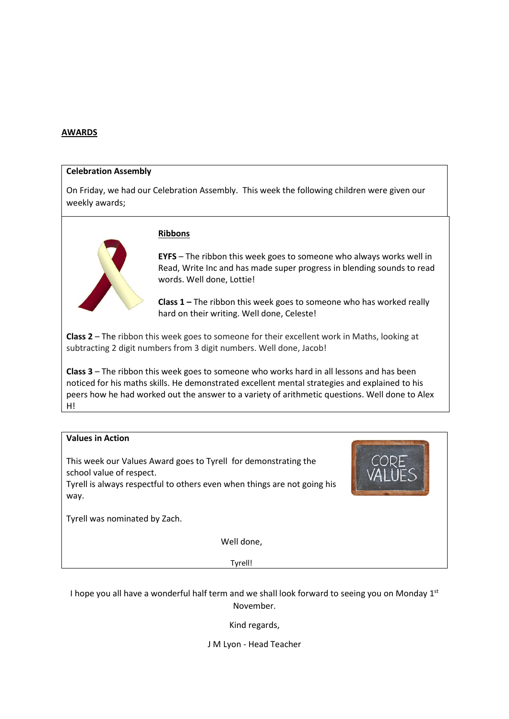#### **AWARDS**

#### **Celebration Assembly**

On Friday, we had our Celebration Assembly. This week the following children were given our weekly awards;

### **Ribbons**

**EYFS** – The ribbon this week goes to someone who always works well in Read, Write Inc and has made super progress in blending sounds to read words. Well done, Lottie!

**Class 1 –** The ribbon this week goes to someone who has worked really hard on their writing. Well done, Celeste!

**Class 2** – The ribbon this week goes to someone for their excellent work in Maths, looking at subtracting 2 digit numbers from 3 digit numbers. Well done, Jacob!

**Class 3** – The ribbon this week goes to someone who works hard in all lessons and has been noticed for his maths skills. He demonstrated excellent mental strategies and explained to his peers how he had worked out the answer to a variety of arithmetic questions. Well done to Alex H!

# **Values in Action**

This week our Values Award goes to Tyrell for demonstrating the school value of respect.

Tyrell is always respectful to others even when things are not going his way.

Tyrell was nominated by Zach.

Well done,

Tyrell!

I hope you all have a wonderful half term and we shall look forward to seeing you on Monday 1st November.

Kind regards,

J M Lyon - Head Teacher